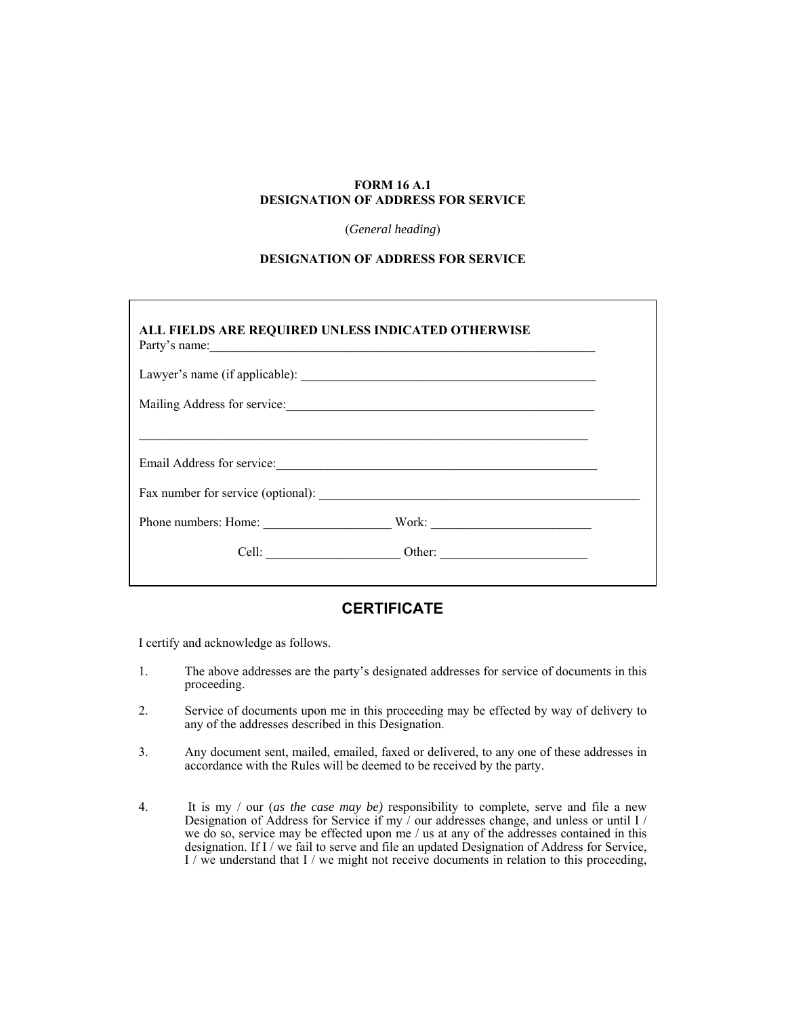## **FORM 16 A.1 DESIGNATION OF ADDRESS FOR SERVICE**

(*General heading*)

## **DESIGNATION OF ADDRESS FOR SERVICE**

٦

I

| ALL FIELDS ARE REQUIRED UNLESS INDICATED OTHERWISE<br>Party's name: |        |  |
|---------------------------------------------------------------------|--------|--|
|                                                                     |        |  |
|                                                                     |        |  |
|                                                                     |        |  |
| Email Address for service:                                          |        |  |
|                                                                     |        |  |
| Phone numbers: Home:                                                |        |  |
| Cell: $\qquad \qquad$                                               | Other: |  |

## **CERTIFICATE**

I certify and acknowledge as follows.

- 1. The above addresses are the party's designated addresses for service of documents in this proceeding.
- 2. Service of documents upon me in this proceeding may be effected by way of delivery to any of the addresses described in this Designation.
- 3. Any document sent, mailed, emailed, faxed or delivered, to any one of these addresses in accordance with the Rules will be deemed to be received by the party.
- 4. It is my / our (*as the case may be)* responsibility to complete, serve and file a new Designation of Address for Service if my / our addresses change, and unless or until I / we do so, service may be effected upon me / us at any of the addresses contained in this designation. If I / we fail to serve and file an updated Designation of Address for Service, I / we understand that I / we might not receive documents in relation to this proceeding,